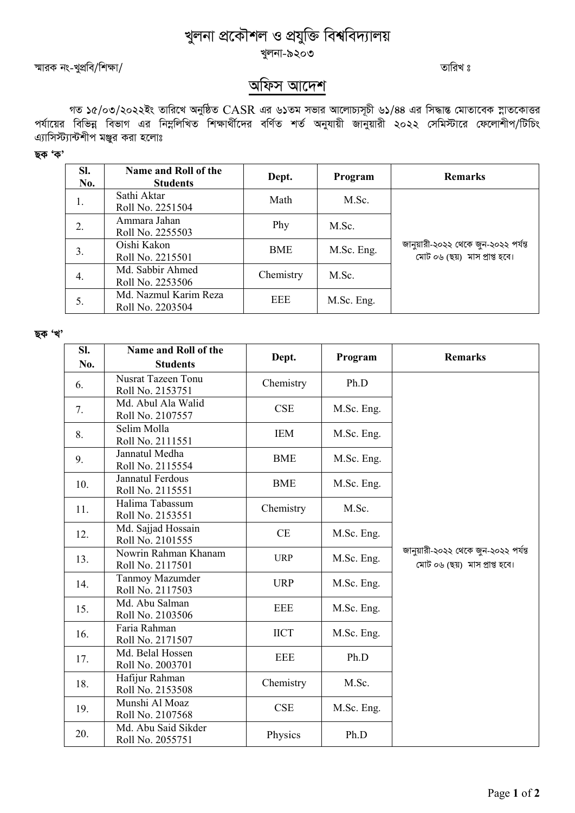## খুলনা প্ৰকৌশল ও প্ৰযুক্তি বিশ্ববিদ্যালয় খুলনা-৯২০৩

¯§viK bs-LycÖwe/wk¶v/ ZvwiL t

## অফিস আদেশ

গত ১৫/০৩/২০২২ইং তারিখে অনুষ্ঠিত  $\rm CASR$  এর ৬১তম সভার আলোচ্যসূচী ৬১/৪৪ এর সিদ্ধান্ত মোতাবেক স্নাতকোত্তর পর্যায়ের বিভিন্ন বিভাগ এর নিম্নলিখিত শিক্ষার্থীদের বর্ণিত শর্ত অনুযায়ী জানুয়ারী ২০২২ সেমিস্টারে ফেলোশীপ/টিচিং এ্যাসিস্ট্যান্টশীপ মঞ্জুর করা হলোঃ

ছক 'ক'

| SI.<br>No. | Name and Roll of the<br><b>Students</b>   | Dept.     | Program    | <b>Remarks</b>                                                        |
|------------|-------------------------------------------|-----------|------------|-----------------------------------------------------------------------|
| 1.         | Sathi Aktar<br>Roll No. 2251504           | Math      | M.Sc.      |                                                                       |
| 2.         | Ammara Jahan<br>Roll No. 2255503          | Phy       | M.Sc.      | জানুয়ারী-২০২২ থেকে জুন-২০২২ পর্যন্ত<br>মোট ০৬ (ছয়) মাস প্ৰাপ্ত হবে। |
| 3.         | Oishi Kakon<br>Roll No. 2215501           | BME       | M.Sc. Eng. |                                                                       |
| 4.         | Md. Sabbir Ahmed<br>Roll No. 2253506      | Chemistry | M.Sc.      |                                                                       |
| 5.         | Md. Nazmul Karim Reza<br>Roll No. 2203504 | EEE       | M.Sc. Eng. |                                                                       |

ছক 'খ'

| SI. | Name and Roll of the                          | Dept.       | Program    | <b>Remarks</b>                                                        |
|-----|-----------------------------------------------|-------------|------------|-----------------------------------------------------------------------|
| No. | <b>Students</b>                               |             |            |                                                                       |
| 6.  | <b>Nusrat Tazeen Tonu</b><br>Roll No. 2153751 | Chemistry   | Ph.D       | জানুয়ারী-২০২২ থেকে জুন-২০২২ পর্যন্ত<br>মোট ০৬ (ছয়) মাস প্ৰাপ্ত হবে। |
| 7.  | Md. Abul Ala Walid<br>Roll No. 2107557        | <b>CSE</b>  | M.Sc. Eng. |                                                                       |
| 8.  | Selim Molla<br>Roll No. 2111551               | <b>IEM</b>  | M.Sc. Eng. |                                                                       |
| 9.  | Jannatul Medha<br>Roll No. 2115554            | <b>BME</b>  | M.Sc. Eng. |                                                                       |
| 10. | Jannatul Ferdous<br>Roll No. 2115551          | <b>BME</b>  | M.Sc. Eng. |                                                                       |
| 11. | Halima Tabassum<br>Roll No. 2153551           | Chemistry   | M.Sc.      |                                                                       |
| 12. | Md. Sajjad Hossain<br>Roll No. 2101555        | <b>CE</b>   | M.Sc. Eng. |                                                                       |
| 13. | Nowrin Rahman Khanam<br>Roll No. 2117501      | <b>URP</b>  | M.Sc. Eng. |                                                                       |
| 14. | Tanmoy Mazumder<br>Roll No. 2117503           | <b>URP</b>  | M.Sc. Eng. |                                                                       |
| 15. | Md. Abu Salman<br>Roll No. 2103506            | <b>EEE</b>  | M.Sc. Eng. |                                                                       |
| 16. | Faria Rahman<br>Roll No. 2171507              | <b>IICT</b> | M.Sc. Eng. |                                                                       |
| 17. | Md. Belal Hossen<br>Roll No. 2003701          | <b>EEE</b>  | Ph.D       |                                                                       |
| 18. | Hafijur Rahman<br>Roll No. 2153508            | Chemistry   | M.Sc.      |                                                                       |
| 19. | Munshi Al Moaz<br>Roll No. 2107568            | <b>CSE</b>  | M.Sc. Eng. |                                                                       |
| 20. | Md. Abu Said Sikder<br>Roll No. 2055751       | Physics     | Ph.D       |                                                                       |